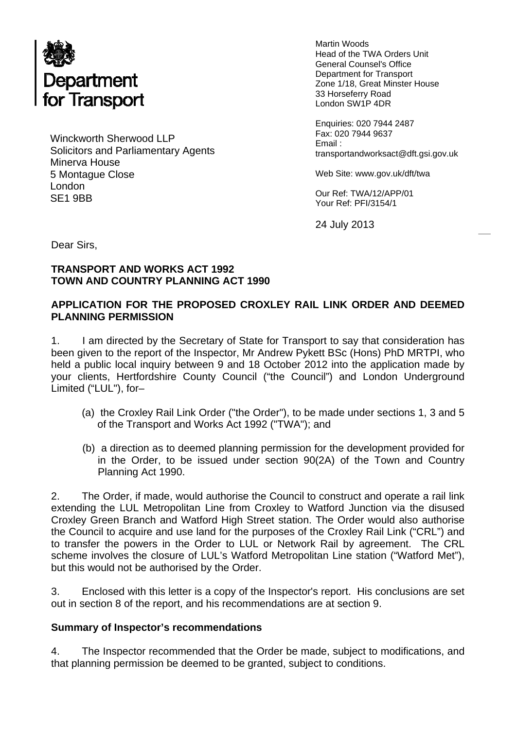

Winckworth Sherwood LLP Solicitors and Parliamentary Agents Minerva House 5 Montague Close London SE1 9BB

Martin Woods Head of the TWA Orders Unit General Counsel's Office Department for Transport Zone 1/18, Great Minster House 33 Horseferry Road London SW1P 4DR

Enquiries: 020 7944 2487 Fax: 020 7944 9637 Email : transportandworksact@dft.gsi.gov.uk

Web Site: www.gov.uk/dft/twa

Our Ref: TWA/12/APP/01 Your Ref: PFI/3154/1

24 July 2013

Dear Sirs,

## **TRANSPORT AND WORKS ACT 1992 TOWN AND COUNTRY PLANNING ACT 1990**

## **APPLICATION FOR THE PROPOSED CROXLEY RAIL LINK ORDER AND DEEMED PLANNING PERMISSION**

1. I am directed by the Secretary of State for Transport to say that consideration has been given to the report of the Inspector, Mr Andrew Pykett BSc (Hons) PhD MRTPI, who held a public local inquiry between 9 and 18 October 2012 into the application made by your clients, Hertfordshire County Council ("the Council") and London Underground Limited ("LUL"), for–

- (a) the Croxley Rail Link Order ("the Order"), to be made under sections 1, 3 and 5 of the Transport and Works Act 1992 ("TWA"); and
- (b) a direction as to deemed planning permission for the development provided for in the Order, to be issued under section 90(2A) of the Town and Country Planning Act 1990.

2. The Order, if made, would authorise the Council to construct and operate a rail link extending the LUL Metropolitan Line from Croxley to Watford Junction via the disused Croxley Green Branch and Watford High Street station. The Order would also authorise the Council to acquire and use land for the purposes of the Croxley Rail Link ("CRL") and to transfer the powers in the Order to LUL or Network Rail by agreement. The CRL scheme involves the closure of LUL's Watford Metropolitan Line station ("Watford Met"), but this would not be authorised by the Order.

3. Enclosed with this letter is a copy of the Inspector's report. His conclusions are set out in section 8 of the report, and his recommendations are at section 9.

### **Summary of Inspector's recommendations**

4. The Inspector recommended that the Order be made, subject to modifications, and that planning permission be deemed to be granted, subject to conditions.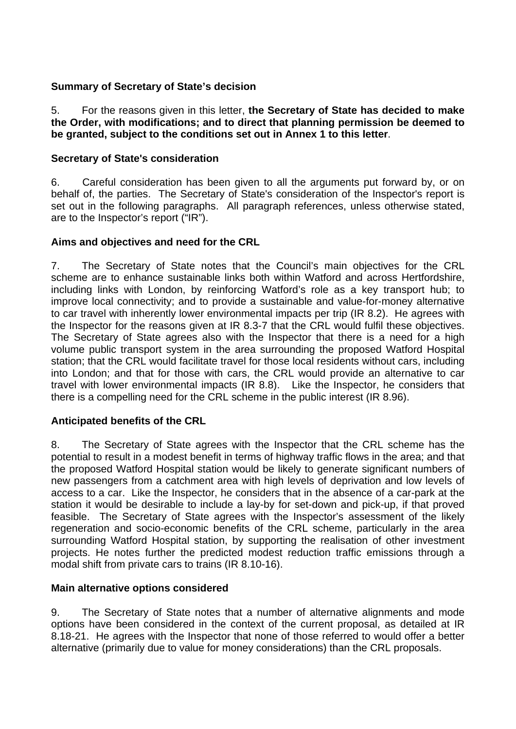# **Summary of Secretary of State's decision**

5. For the reasons given in this letter, **the Secretary of State has decided to make the Order, with modifications; and to direct that planning permission be deemed to be granted, subject to the conditions set out in Annex 1 to this letter**.

## **Secretary of State's consideration**

6. Careful consideration has been given to all the arguments put forward by, or on behalf of, the parties. The Secretary of State's consideration of the Inspector's report is set out in the following paragraphs. All paragraph references, unless otherwise stated, are to the Inspector's report ("IR").

# **Aims and objectives and need for the CRL**

7. The Secretary of State notes that the Council's main objectives for the CRL scheme are to enhance sustainable links both within Watford and across Hertfordshire, including links with London, by reinforcing Watford's role as a key transport hub; to improve local connectivity; and to provide a sustainable and value-for-money alternative to car travel with inherently lower environmental impacts per trip (IR 8.2). He agrees with the Inspector for the reasons given at IR 8.3-7 that the CRL would fulfil these objectives. The Secretary of State agrees also with the Inspector that there is a need for a high volume public transport system in the area surrounding the proposed Watford Hospital station; that the CRL would facilitate travel for those local residents without cars, including into London; and that for those with cars, the CRL would provide an alternative to car travel with lower environmental impacts (IR 8.8). Like the Inspector, he considers that there is a compelling need for the CRL scheme in the public interest (IR 8.96).

### **Anticipated benefits of the CRL**

8. The Secretary of State agrees with the Inspector that the CRL scheme has the potential to result in a modest benefit in terms of highway traffic flows in the area; and that the proposed Watford Hospital station would be likely to generate significant numbers of new passengers from a catchment area with high levels of deprivation and low levels of access to a car. Like the Inspector, he considers that in the absence of a car-park at the station it would be desirable to include a lay-by for set-down and pick-up, if that proved feasible. The Secretary of State agrees with the Inspector's assessment of the likely regeneration and socio-economic benefits of the CRL scheme, particularly in the area surrounding Watford Hospital station, by supporting the realisation of other investment projects. He notes further the predicted modest reduction traffic emissions through a modal shift from private cars to trains (IR 8.10-16).

### **Main alternative options considered**

9. The Secretary of State notes that a number of alternative alignments and mode options have been considered in the context of the current proposal, as detailed at IR 8.18-21. He agrees with the Inspector that none of those referred to would offer a better alternative (primarily due to value for money considerations) than the CRL proposals.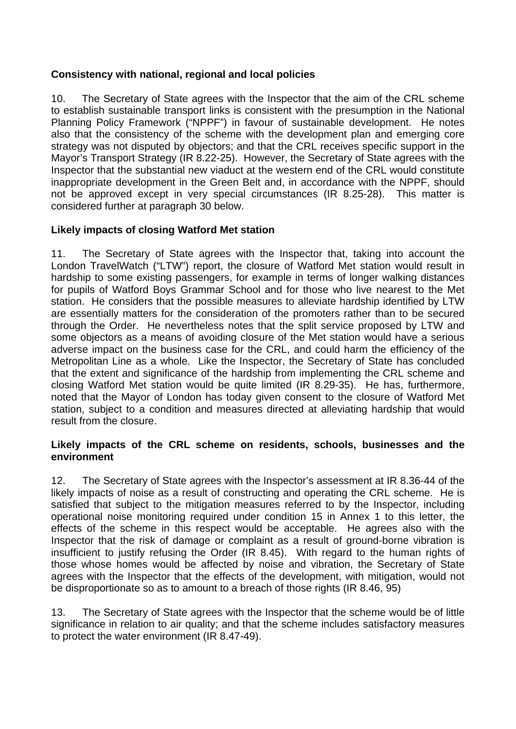# **Consistency with national, regional and local policies**

10. The Secretary of State agrees with the Inspector that the aim of the CRL scheme to establish sustainable transport links is consistent with the presumption in the National Planning Policy Framework ("NPPF") in favour of sustainable development. He notes also that the consistency of the scheme with the development plan and emerging core strategy was not disputed by objectors; and that the CRL receives specific support in the Mayor's Transport Strategy (IR 8.22-25). However, the Secretary of State agrees with the Inspector that the substantial new viaduct at the western end of the CRL would constitute inappropriate development in the Green Belt and, in accordance with the NPPF, should not be approved except in very special circumstances (IR 8.25-28). This matter is considered further at paragraph 30 below.

# **Likely impacts of closing Watford Met station**

11. The Secretary of State agrees with the Inspector that, taking into account the London TravelWatch ("LTW") report, the closure of Watford Met station would result in hardship to some existing passengers, for example in terms of longer walking distances for pupils of Watford Boys Grammar School and for those who live nearest to the Met station. He considers that the possible measures to alleviate hardship identified by LTW are essentially matters for the consideration of the promoters rather than to be secured through the Order. He nevertheless notes that the split service proposed by LTW and some objectors as a means of avoiding closure of the Met station would have a serious adverse impact on the business case for the CRL, and could harm the efficiency of the Metropolitan Line as a whole. Like the Inspector, the Secretary of State has concluded that the extent and significance of the hardship from implementing the CRL scheme and closing Watford Met station would be quite limited (IR 8.29-35). He has, furthermore, noted that the Mayor of London has today given consent to the closure of Watford Met station, subject to a condition and measures directed at alleviating hardship that would result from the closure.

### **Likely impacts of the CRL scheme on residents, schools, businesses and the environment**

12. The Secretary of State agrees with the Inspector's assessment at IR 8.36-44 of the likely impacts of noise as a result of constructing and operating the CRL scheme. He is satisfied that subject to the mitigation measures referred to by the Inspector, including operational noise monitoring required under condition 15 in Annex 1 to this letter, the effects of the scheme in this respect would be acceptable. He agrees also with the Inspector that the risk of damage or complaint as a result of ground-borne vibration is insufficient to justify refusing the Order (IR 8.45). With regard to the human rights of those whose homes would be affected by noise and vibration, the Secretary of State agrees with the Inspector that the effects of the development, with mitigation, would not be disproportionate so as to amount to a breach of those rights (IR 8.46, 95)

13. The Secretary of State agrees with the Inspector that the scheme would be of little significance in relation to air quality; and that the scheme includes satisfactory measures to protect the water environment (IR 8.47-49).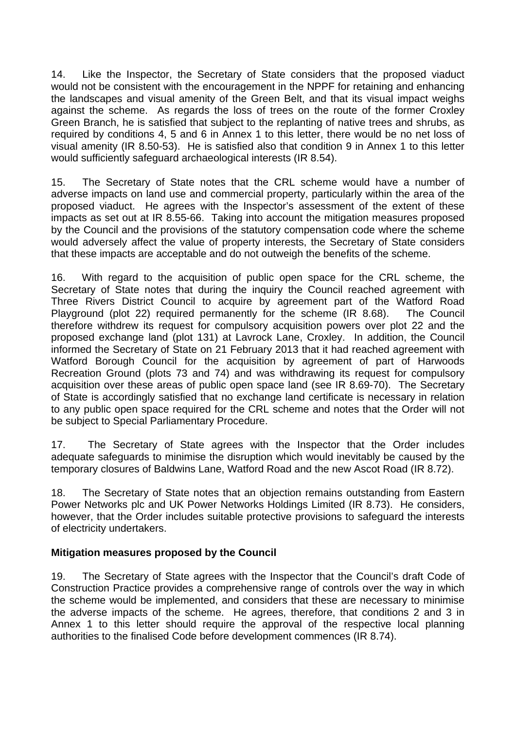14. Like the Inspector, the Secretary of State considers that the proposed viaduct would not be consistent with the encouragement in the NPPF for retaining and enhancing the landscapes and visual amenity of the Green Belt, and that its visual impact weighs against the scheme. As regards the loss of trees on the route of the former Croxley Green Branch, he is satisfied that subject to the replanting of native trees and shrubs, as required by conditions 4, 5 and 6 in Annex 1 to this letter, there would be no net loss of visual amenity (IR 8.50-53). He is satisfied also that condition 9 in Annex 1 to this letter would sufficiently safeguard archaeological interests (IR 8.54).

15. The Secretary of State notes that the CRL scheme would have a number of adverse impacts on land use and commercial property, particularly within the area of the proposed viaduct. He agrees with the Inspector's assessment of the extent of these impacts as set out at IR 8.55-66. Taking into account the mitigation measures proposed by the Council and the provisions of the statutory compensation code where the scheme would adversely affect the value of property interests, the Secretary of State considers that these impacts are acceptable and do not outweigh the benefits of the scheme.

16. With regard to the acquisition of public open space for the CRL scheme, the Secretary of State notes that during the inquiry the Council reached agreement with Three Rivers District Council to acquire by agreement part of the Watford Road Playground (plot 22) required permanently for the scheme (IR 8.68). The Council therefore withdrew its request for compulsory acquisition powers over plot 22 and the proposed exchange land (plot 131) at Lavrock Lane, Croxley. In addition, the Council informed the Secretary of State on 21 February 2013 that it had reached agreement with Watford Borough Council for the acquisition by agreement of part of Harwoods Recreation Ground (plots 73 and 74) and was withdrawing its request for compulsory acquisition over these areas of public open space land (see IR 8.69-70). The Secretary of State is accordingly satisfied that no exchange land certificate is necessary in relation to any public open space required for the CRL scheme and notes that the Order will not be subject to Special Parliamentary Procedure.

17. The Secretary of State agrees with the Inspector that the Order includes adequate safeguards to minimise the disruption which would inevitably be caused by the temporary closures of Baldwins Lane, Watford Road and the new Ascot Road (IR 8.72).

18. The Secretary of State notes that an objection remains outstanding from Eastern Power Networks plc and UK Power Networks Holdings Limited (IR 8.73). He considers, however, that the Order includes suitable protective provisions to safeguard the interests of electricity undertakers.

### **Mitigation measures proposed by the Council**

19. The Secretary of State agrees with the Inspector that the Council's draft Code of Construction Practice provides a comprehensive range of controls over the way in which the scheme would be implemented, and considers that these are necessary to minimise the adverse impacts of the scheme. He agrees, therefore, that conditions 2 and 3 in Annex 1 to this letter should require the approval of the respective local planning authorities to the finalised Code before development commences (IR 8.74).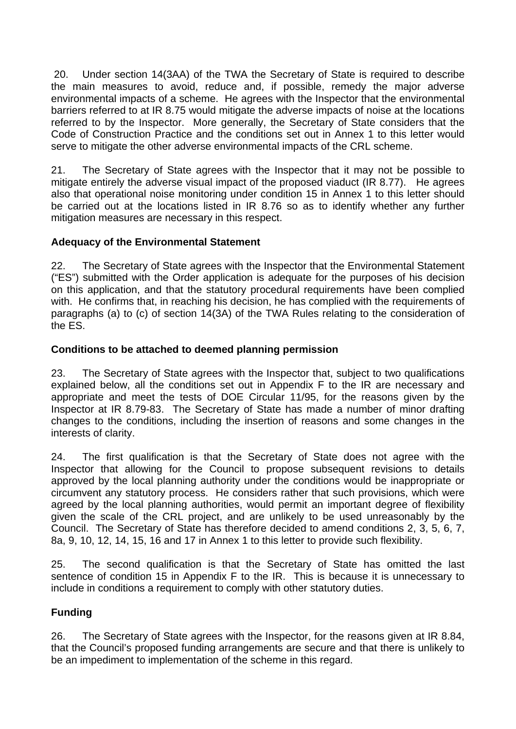20. Under section 14(3AA) of the TWA the Secretary of State is required to describe the main measures to avoid, reduce and, if possible, remedy the major adverse environmental impacts of a scheme. He agrees with the Inspector that the environmental barriers referred to at IR 8.75 would mitigate the adverse impacts of noise at the locations referred to by the Inspector. More generally, the Secretary of State considers that the Code of Construction Practice and the conditions set out in Annex 1 to this letter would serve to mitigate the other adverse environmental impacts of the CRL scheme.

21. The Secretary of State agrees with the Inspector that it may not be possible to mitigate entirely the adverse visual impact of the proposed viaduct (IR 8.77). He agrees also that operational noise monitoring under condition 15 in Annex 1 to this letter should be carried out at the locations listed in IR 8.76 so as to identify whether any further mitigation measures are necessary in this respect.

# **Adequacy of the Environmental Statement**

22. The Secretary of State agrees with the Inspector that the Environmental Statement ("ES") submitted with the Order application is adequate for the purposes of his decision on this application, and that the statutory procedural requirements have been complied with. He confirms that, in reaching his decision, he has complied with the requirements of paragraphs (a) to (c) of section 14(3A) of the TWA Rules relating to the consideration of the ES.

# **Conditions to be attached to deemed planning permission**

23. The Secretary of State agrees with the Inspector that, subject to two qualifications explained below, all the conditions set out in Appendix F to the IR are necessary and appropriate and meet the tests of DOE Circular 11/95, for the reasons given by the Inspector at IR 8.79-83. The Secretary of State has made a number of minor drafting changes to the conditions, including the insertion of reasons and some changes in the interests of clarity.

24. The first qualification is that the Secretary of State does not agree with the Inspector that allowing for the Council to propose subsequent revisions to details approved by the local planning authority under the conditions would be inappropriate or circumvent any statutory process. He considers rather that such provisions, which were agreed by the local planning authorities, would permit an important degree of flexibility given the scale of the CRL project, and are unlikely to be used unreasonably by the Council. The Secretary of State has therefore decided to amend conditions 2, 3, 5, 6, 7, 8a, 9, 10, 12, 14, 15, 16 and 17 in Annex 1 to this letter to provide such flexibility.

25. The second qualification is that the Secretary of State has omitted the last sentence of condition 15 in Appendix F to the IR. This is because it is unnecessary to include in conditions a requirement to comply with other statutory duties.

# **Funding**

26. The Secretary of State agrees with the Inspector, for the reasons given at IR 8.84, that the Council's proposed funding arrangements are secure and that there is unlikely to be an impediment to implementation of the scheme in this regard.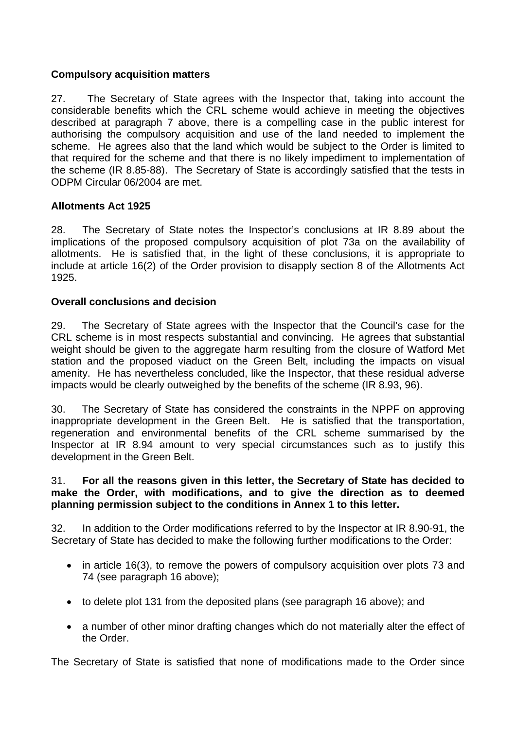## **Compulsory acquisition matters**

27. The Secretary of State agrees with the Inspector that, taking into account the considerable benefits which the CRL scheme would achieve in meeting the objectives described at paragraph 7 above, there is a compelling case in the public interest for authorising the compulsory acquisition and use of the land needed to implement the scheme. He agrees also that the land which would be subject to the Order is limited to that required for the scheme and that there is no likely impediment to implementation of the scheme (IR 8.85-88). The Secretary of State is accordingly satisfied that the tests in ODPM Circular 06/2004 are met.

## **Allotments Act 1925**

28. The Secretary of State notes the Inspector's conclusions at IR 8.89 about the implications of the proposed compulsory acquisition of plot 73a on the availability of allotments. He is satisfied that, in the light of these conclusions, it is appropriate to include at article 16(2) of the Order provision to disapply section 8 of the Allotments Act 1925.

### **Overall conclusions and decision**

29. The Secretary of State agrees with the Inspector that the Council's case for the CRL scheme is in most respects substantial and convincing. He agrees that substantial weight should be given to the aggregate harm resulting from the closure of Watford Met station and the proposed viaduct on the Green Belt, including the impacts on visual amenity. He has nevertheless concluded, like the Inspector, that these residual adverse impacts would be clearly outweighed by the benefits of the scheme (IR 8.93, 96).

30. The Secretary of State has considered the constraints in the NPPF on approving inappropriate development in the Green Belt. He is satisfied that the transportation, regeneration and environmental benefits of the CRL scheme summarised by the Inspector at IR 8.94 amount to very special circumstances such as to justify this development in the Green Belt.

#### 31. **For all the reasons given in this letter, the Secretary of State has decided to make the Order, with modifications, and to give the direction as to deemed planning permission subject to the conditions in Annex 1 to this letter.**

32. In addition to the Order modifications referred to by the Inspector at IR 8.90-91, the Secretary of State has decided to make the following further modifications to the Order:

- in article 16(3), to remove the powers of compulsory acquisition over plots 73 and 74 (see paragraph 16 above);
- to delete plot 131 from the deposited plans (see paragraph 16 above); and
- a number of other minor drafting changes which do not materially alter the effect of the Order.

The Secretary of State is satisfied that none of modifications made to the Order since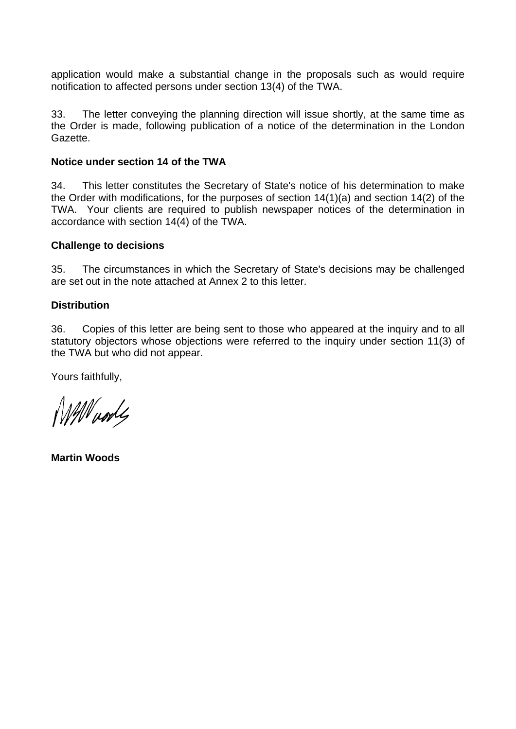application would make a substantial change in the proposals such as would require notification to affected persons under section 13(4) of the TWA.

33. The letter conveying the planning direction will issue shortly, at the same time as the Order is made, following publication of a notice of the determination in the London Gazette.

#### **Notice under section 14 of the TWA**

34. This letter constitutes the Secretary of State's notice of his determination to make the Order with modifications, for the purposes of section 14(1)(a) and section 14(2) of the TWA. Your clients are required to publish newspaper notices of the determination in accordance with section 14(4) of the TWA.

#### **Challenge to decisions**

35. The circumstances in which the Secretary of State's decisions may be challenged are set out in the note attached at Annex 2 to this letter.

### **Distribution**

36. Copies of this letter are being sent to those who appeared at the inquiry and to all statutory objectors whose objections were referred to the inquiry under section 11(3) of the TWA but who did not appear.

Yours faithfully,

Will woods

**Martin Woods**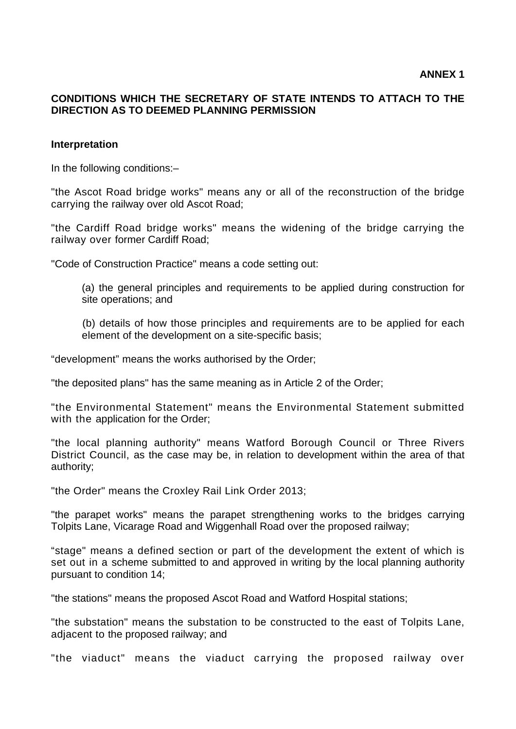### **CONDITIONS WHICH THE SECRETARY OF STATE INTENDS TO ATTACH TO THE DIRECTION AS TO DEEMED PLANNING PERMISSION**

#### **Interpretation**

In the following conditions:–

"the Ascot Road bridge works" means any or all of the reconstruction of the bridge carrying the railway over old Ascot Road;

"the Cardiff Road bridge works" means the widening of the bridge carrying the railway over former Cardiff Road;

"Code of Construction Practice" means a code setting out:

(a) the general principles and requirements to be applied during construction for site operations; and

 (b) details of how those principles and requirements are to be applied for each element of the development on a site-specific basis;

"development" means the works authorised by the Order;

"the deposited plans" has the same meaning as in Article 2 of the Order;

"the Environmental Statement" means the Environmental Statement submitted with the application for the Order;

"the local planning authority" means Watford Borough Council or Three Rivers District Council, as the case may be, in relation to development within the area of that authority;

"the Order" means the Croxley Rail Link Order 2013;

"the parapet works" means the parapet strengthening works to the bridges carrying Tolpits Lane, Vicarage Road and Wiggenhall Road over the proposed railway;

"stage" means a defined section or part of the development the extent of which is set out in a scheme submitted to and approved in writing by the local planning authority pursuant to condition 14;

"the stations" means the proposed Ascot Road and Watford Hospital stations;

"the substation" means the substation to be constructed to the east of Tolpits Lane, adjacent to the proposed railway; and

"the viaduct" means the viaduct carrying the proposed railway over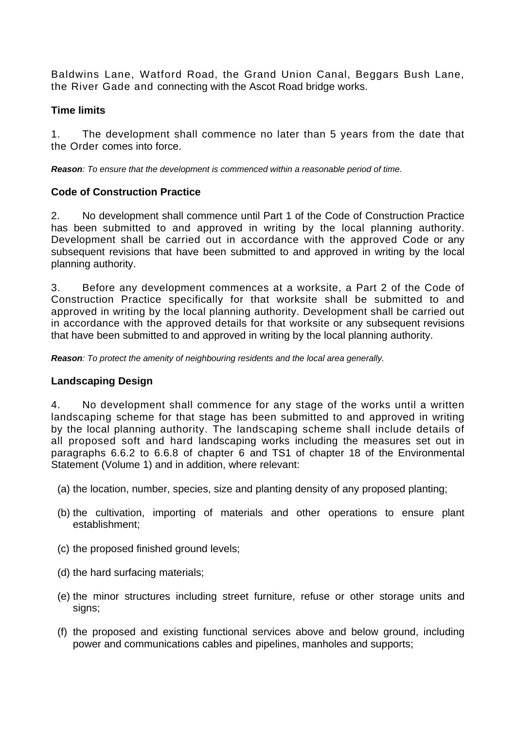Baldwins Lane, Watford Road, the Grand Union Canal, Beggars Bush Lane, the River Gade and connecting with the Ascot Road bridge works.

## **Time limits**

1. The development shall commence no later than 5 years from the date that the Order comes into force.

*Reason: To ensure that the development is commenced within a reasonable period of time.* 

# **Code of Construction Practice**

2. No development shall commence until Part 1 of the Code of Construction Practice has been submitted to and approved in writing by the local planning authority. Development shall be carried out in accordance with the approved Code or any subsequent revisions that have been submitted to and approved in writing by the local planning authority.

3. Before any development commences at a worksite, a Part 2 of the Code of Construction Practice specifically for that worksite shall be submitted to and approved in writing by the local planning authority. Development shall be carried out in accordance with the approved details for that worksite or any subsequent revisions that have been submitted to and approved in writing by the local planning authority.

*Reason: To protect the amenity of neighbouring residents and the local area generally.* 

# **Landscaping Design**

4. No development shall commence for any stage of the works until a written landscaping scheme for that stage has been submitted to and approved in writing by the local planning authority. The landscaping scheme shall include details of all proposed soft and hard landscaping works including the measures set out in paragraphs 6.6.2 to 6.6.8 of chapter 6 and TS1 of chapter 18 of the Environmental Statement (Volume 1) and in addition, where relevant:

- (a) the location, number, species, size and planting density of any proposed planting;
- (b) the cultivation, importing of materials and other operations to ensure plant establishment;
- (c) the proposed finished ground levels;
- (d) the hard surfacing materials;
- (e) the minor structures including street furniture, refuse or other storage units and signs;
- (f) the proposed and existing functional services above and below ground, including power and communications cables and pipelines, manholes and supports;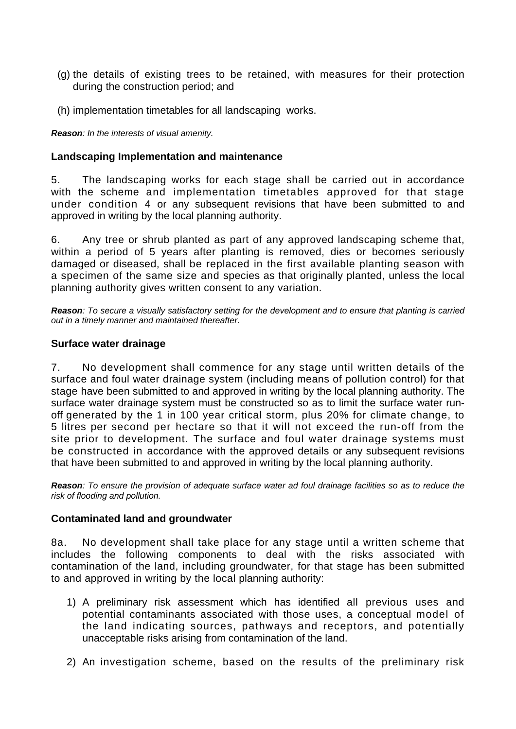- (g) the details of existing trees to be retained, with measures for their protection during the construction period; and
- (h) implementation timetables for all landscaping works.

*Reason: In the interests of visual amenity.* 

#### **Landscaping Implementation and maintenance**

5. The landscaping works for each stage shall be carried out in accordance with the scheme and implementation timetables approved for that stage under condition 4 or any subsequent revisions that have been submitted to and approved in writing by the local planning authority.

6. Any tree or shrub planted as part of any approved landscaping scheme that, within a period of 5 years after planting is removed, dies or becomes seriously damaged or diseased, shall be replaced in the first available planting season with a specimen of the same size and species as that originally planted, unless the local planning authority gives written consent to any variation.

*Reason: To secure a visually satisfactory setting for the development and to ensure that planting is carried out in a timely manner and maintained thereafter.* 

#### **Surface water drainage**

7. No development shall commence for any stage until written details of the surface and foul water drainage system (including means of pollution control) for that stage have been submitted to and approved in writing by the local planning authority. The surface water drainage system must be constructed so as to limit the surface water runoff generated by the 1 in 100 year critical storm, plus 20% for climate change, to 5 litres per second per hectare so that it will not exceed the run-off from the site prior to development. The surface and foul water drainage systems must be constructed in accordance with the approved details or any subsequent revisions that have been submitted to and approved in writing by the local planning authority.

*Reason: To ensure the provision of adequate surface water ad foul drainage facilities so as to reduce the risk of flooding and pollution.* 

#### **Contaminated land and groundwater**

8a. No development shall take place for any stage until a written scheme that includes the following components to deal with the risks associated with contamination of the land, including groundwater, for that stage has been submitted to and approved in writing by the local planning authority:

- 1) A preliminary risk assessment which has identified all previous uses and potential contaminants associated with those uses, a conceptual model of the land indicating sources, pathways and receptors, and potentially unacceptable risks arising from contamination of the land.
- 2) An investigation scheme, based on the results of the preliminary risk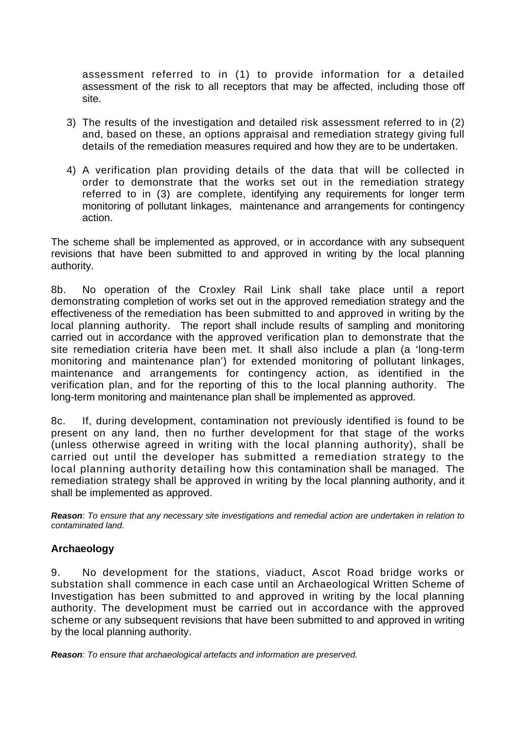assessment referred to in (1) to provide information for a detailed assessment of the risk to all receptors that may be affected, including those off site.

- 3) The results of the investigation and detailed risk assessment referred to in (2) and, based on these, an options appraisal and remediation strategy giving full details of the remediation measures required and how they are to be undertaken.
- 4) A verification plan providing details of the data that will be collected in order to demonstrate that the works set out in the remediation strategy referred to in (3) are complete, identifying any requirements for longer term monitoring of pollutant linkages, maintenance and arrangements for contingency action.

The scheme shall be implemented as approved, or in accordance with any subsequent revisions that have been submitted to and approved in writing by the local planning authority.

8b. No operation of the Croxley Rail Link shall take place until a report demonstrating completion of works set out in the approved remediation strategy and the effectiveness of the remediation has been submitted to and approved in writing by the local planning authority. The report shall include results of sampling and monitoring carried out in accordance with the approved verification plan to demonstrate that the site remediation criteria have been met. It shall also include a plan (a 'long-term monitoring and maintenance plan') for extended monitoring of pollutant linkages, maintenance and arrangements for contingency action, as identified in the verification plan, and for the reporting of this to the local planning authority. The long-term monitoring and maintenance plan shall be implemented as approved.

8c. If, during development, contamination not previously identified is found to be present on any land, then no further development for that stage of the works (unless otherwise agreed in writing with the local planning authority), shall be carried out until the developer has submitted a remediation strategy to the local planning authority detailing how this contamination shall be managed. The remediation strategy shall be approved in writing by the local planning authority, and it shall be implemented as approved.

*Reason: To ensure that any necessary site investigations and remedial action are undertaken in relation to contaminated land.* 

### **Archaeology**

9. No development for the stations, viaduct, Ascot Road bridge works or substation shall commence in each case until an Archaeological Written Scheme of Investigation has been submitted to and approved in writing by the local planning authority. The development must be carried out in accordance with the approved scheme or any subsequent revisions that have been submitted to and approved in writing by the local planning authority.

*Reason: To ensure that archaeological artefacts and information are preserved.*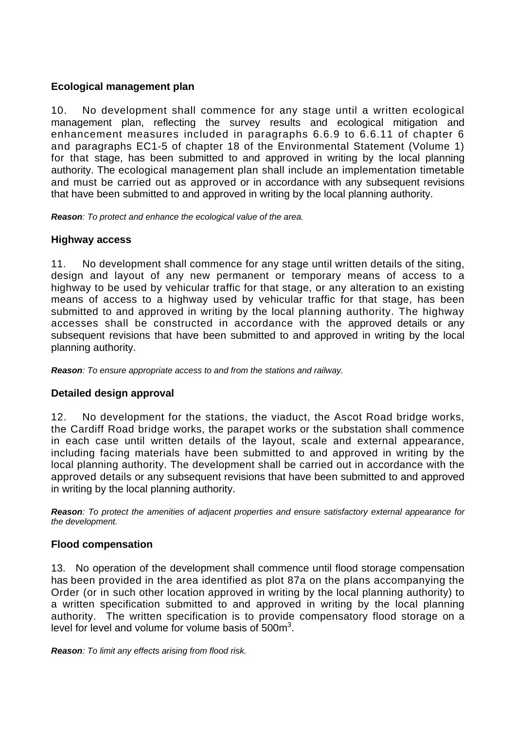## **Ecological management plan**

10. No development shall commence for any stage until a written ecological management plan, reflecting the survey results and ecological mitigation and enhancement measures included in paragraphs 6.6.9 to 6.6.11 of chapter 6 and paragraphs EC1-5 of chapter 18 of the Environmental Statement (Volume 1) for that stage, has been submitted to and approved in writing by the local planning authority. The ecological management plan shall include an implementation timetable and must be carried out as approved or in accordance with any subsequent revisions that have been submitted to and approved in writing by the local planning authority.

*Reason: To protect and enhance the ecological value of the area.* 

# **Highway access**

11. No development shall commence for any stage until written details of the siting, design and layout of any new permanent or temporary means of access to a highway to be used by vehicular traffic for that stage, or any alteration to an existing means of access to a highway used by vehicular traffic for that stage, has been submitted to and approved in writing by the local planning authority. The highway accesses shall be constructed in accordance with the approved details or any subsequent revisions that have been submitted to and approved in writing by the local planning authority.

*Reason: To ensure appropriate access to and from the stations and railway.* 

# **Detailed design approval**

12. No development for the stations, the viaduct, the Ascot Road bridge works, the Cardiff Road bridge works, the parapet works or the substation shall commence in each case until written details of the layout, scale and external appearance, including facing materials have been submitted to and approved in writing by the local planning authority. The development shall be carried out in accordance with the approved details or any subsequent revisions that have been submitted to and approved in writing by the local planning authority.

*Reason: To protect the amenities of adjacent properties and ensure satisfactory external appearance for the development.* 

### **Flood compensation**

 13. No operation of the development shall commence until flood storage compensation has been provided in the area identified as plot 87a on the plans accompanying the Order (or in such other location approved in writing by the local planning authority) to a written specification submitted to and approved in writing by the local planning authority. The written specification is to provide compensatory flood storage on a level for level and volume for volume basis of  $500m^3$ .

*Reason: To limit any effects arising from flood risk.*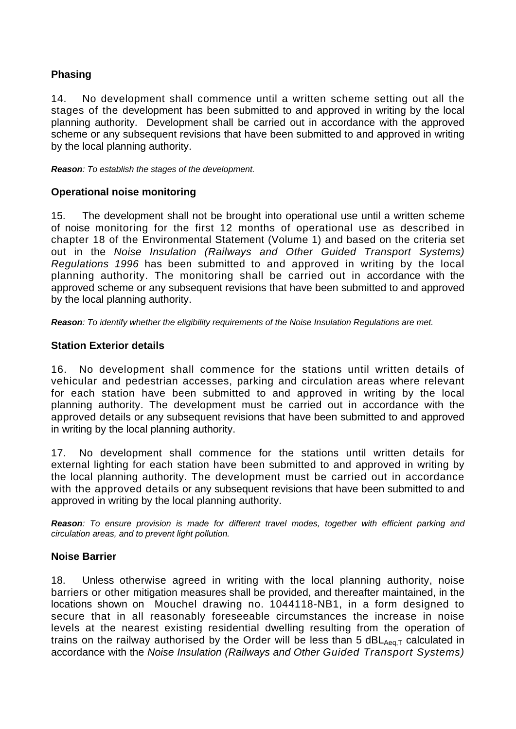# **Phasing**

14. No development shall commence until a written scheme setting out all the stages of the development has been submitted to and approved in writing by the local planning authority. Development shall be carried out in accordance with the approved scheme or any subsequent revisions that have been submitted to and approved in writing by the local planning authority.

*Reason: To establish the stages of the development.* 

## **Operational noise monitoring**

15. The development shall not be brought into operational use until a written scheme of noise monitoring for the first 12 months of operational use as described in chapter 18 of the Environmental Statement (Volume 1) and based on the criteria set out in the *Noise Insulation (Railways and Other Guided Transport Systems) Regulations 1996* has been submitted to and approved in writing by the local planning authority. The monitoring shall be carried out in accordance with the approved scheme or any subsequent revisions that have been submitted to and approved by the local planning authority.

*Reason: To identify whether the eligibility requirements of the Noise Insulation Regulations are met.* 

## **Station Exterior details**

 16. No development shall commence for the stations until written details of vehicular and pedestrian accesses, parking and circulation areas where relevant for each station have been submitted to and approved in writing by the local planning authority. The development must be carried out in accordance with the approved details or any subsequent revisions that have been submitted to and approved in writing by the local planning authority.

 17. No development shall commence for the stations until written details for external lighting for each station have been submitted to and approved in writing by the local planning authority. The development must be carried out in accordance with the approved details or any subsequent revisions that have been submitted to and approved in writing by the local planning authority.

*Reason: To ensure provision is made for different travel modes, together with efficient parking and circulation areas, and to prevent light pollution.* 

### **Noise Barrier**

18. Unless otherwise agreed in writing with the local planning authority, noise barriers or other mitigation measures shall be provided, and thereafter maintained, in the locations shown on Mouchel drawing no. 1044118-NB1, in a form designed to secure that in all reasonably foreseeable circumstances the increase in noise levels at the nearest existing residential dwelling resulting from the operation of trains on the railway authorised by the Order will be less than 5  $dBL_{Aeq,T}$  calculated in accordance with the *Noise Insulation (Railways and Other Guided Transport Systems)*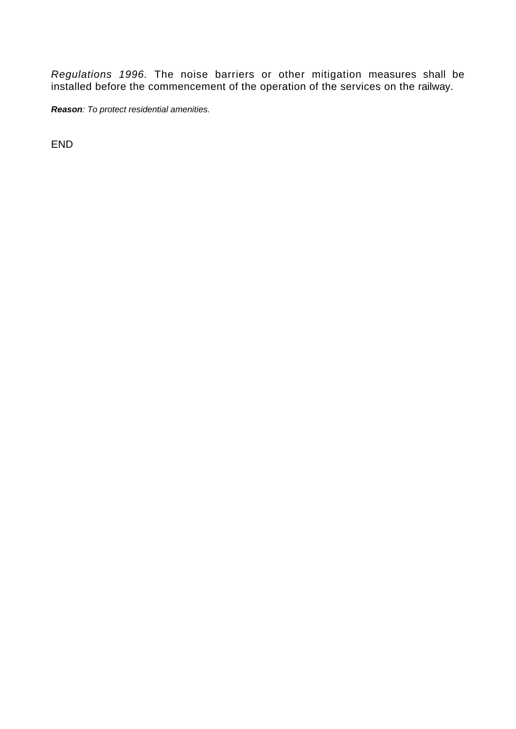*Regulations 1996.* The noise barriers or other mitigation measures shall be installed before the commencement of the operation of the services on the railway.

*Reason: To protect residential amenities.* 

END